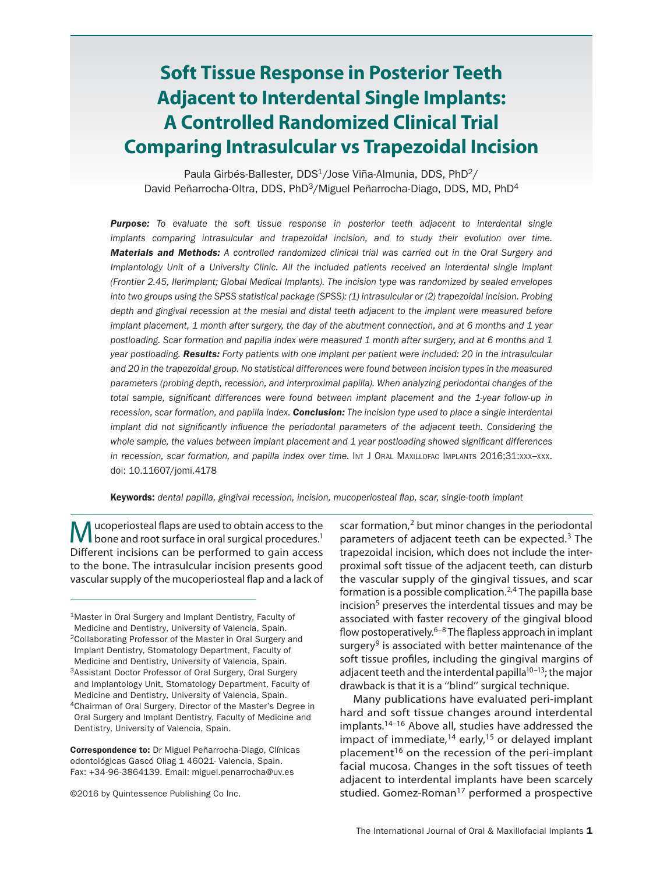# **Soft Tissue Response in Posterior Teeth Adjacent to Interdental Single Implants: A Controlled Randomized Clinical Trial Comparing Intrasulcular vs Trapezoidal Incision**

Paula Girbés-Ballester, DDS<sup>1</sup>/Jose Viña-Almunia, DDS, PhD<sup>2</sup>/ David Peñarrocha-Oltra, DDS, PhD3/Miguel Peñarrocha-Diago, DDS, MD, PhD4

*Purpose: To evaluate the soft tissue response in posterior teeth adjacent to interdental single implants comparing intrasulcular and trapezoidal incision, and to study their evolution over time. Materials and Methods: A controlled randomized clinical trial was carried out in the Oral Surgery and Implantology Unit of a University Clinic. All the included patients received an interdental single implant (Frontier 2.45, Ilerimplant; Global Medical Implants). The incision type was randomized by sealed envelopes into two groups using the SPSS statistical package (SPSS): (1) intrasulcular or (2) trapezoidal incision. Probing depth and gingival recession at the mesial and distal teeth adjacent to the implant were measured before implant placement, 1 month after surgery, the day of the abutment connection, and at 6 months and 1 year postloading. Scar formation and papilla index were measured 1 month after surgery, and at 6 months and 1 year postloading. Results: Forty patients with one implant per patient were included: 20 in the intrasulcular and 20 in the trapezoidal group. No statistical differences were found between incision types in the measured parameters (probing depth, recession, and interproximal papilla). When analyzing periodontal changes of the total sample, significant differences were found between implant placement and the 1-year follow-up in recession, scar formation, and papilla index. Conclusion: The incision type used to place a single interdental implant did not significantly influence the periodontal parameters of the adjacent teeth. Considering the whole sample, the values between implant placement and 1 year postloading showed significant differences in recession, scar formation, and papilla index over time.* Int J ORAL MAXILLOFAC IMPLANTS 2016;31:xxx-xxx. doi: 10.11607/jomi.4178

Keywords: *dental papilla, gingival recession, incision, mucoperiosteal flap, scar, single-tooth implant*

Mucoperiosteal flaps are used to obtain access to the bone and root surface in oral surgical procedures.<sup>1</sup> Different incisions can be performed to gain access to the bone. The intrasulcular incision presents good vascular supply of the mucoperiosteal flap and a lack of

Correspondence to: Dr Miguel Peñarrocha-Diago, Clínicas odontológicas Gascó Oliag 1 46021- Valencia, Spain. Fax: +34-96-3864139. Email: miguel.penarrocha@uv.es

©2016 by Quintessence Publishing Co Inc.

scar formation,<sup>2</sup> but minor changes in the periodontal parameters of adjacent teeth can be expected.3 The trapezoidal incision, which does not include the interproximal soft tissue of the adjacent teeth, can disturb the vascular supply of the gingival tissues, and scar formation is a possible complication.<sup>2,4</sup> The papilla base incision<sup>5</sup> preserves the interdental tissues and may be associated with faster recovery of the gingival blood flow postoperatively. $6-8$  The flapless approach in implant surgery $9$  is associated with better maintenance of the soft tissue profiles, including the gingival margins of adjacent teeth and the interdental papilla<sup>10–13</sup>; the major drawback is that it is a ''blind'' surgical technique.

Many publications have evaluated peri-implant hard and soft tissue changes around interdental implants.14–16 Above all, studies have addressed the impact of immediate, $14$  early, $15$  or delayed implant placement<sup>16</sup> on the recession of the peri-implant facial mucosa. Changes in the soft tissues of teeth adjacent to interdental implants have been scarcely studied. Gomez-Roman<sup>17</sup> performed a prospective

<sup>1</sup>Master in Oral Surgery and Implant Dentistry, Faculty of Medicine and Dentistry, University of Valencia, Spain. 2Collaborating Professor of the Master in Oral Surgery and Implant Dentistry, Stomatology Department, Faculty of Medicine and Dentistry, University of Valencia, Spain. 3Assistant Doctor Professor of Oral Surgery, Oral Surgery and Implantology Unit, Stomatology Department, Faculty of Medicine and Dentistry, University of Valencia, Spain. 4Chairman of Oral Surgery, Director of the Master's Degree in Oral Surgery and Implant Dentistry, Faculty of Medicine and Dentistry, University of Valencia, Spain.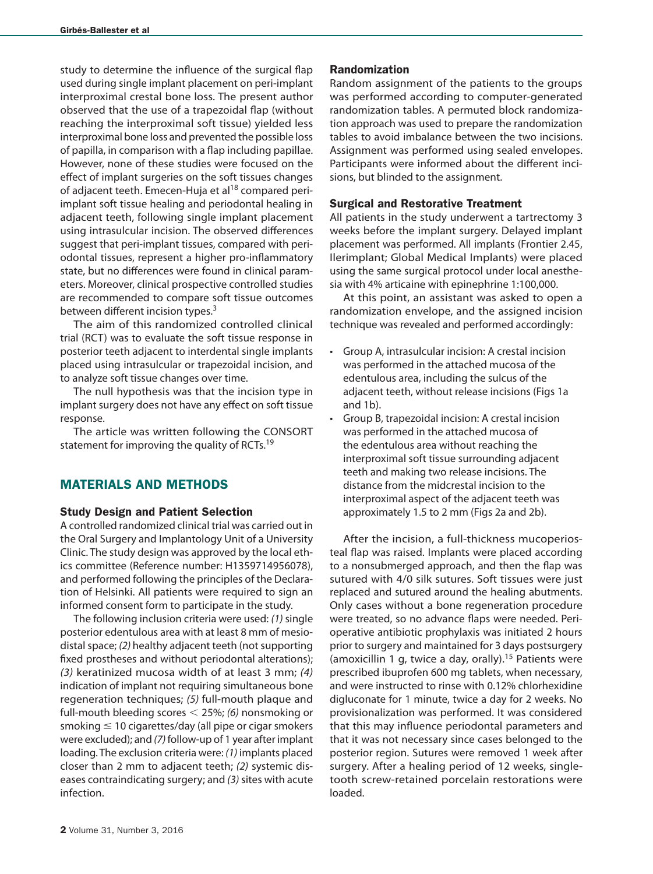study to determine the influence of the surgical flap used during single implant placement on peri-implant interproximal crestal bone loss. The present author observed that the use of a trapezoidal flap (without reaching the interproximal soft tissue) yielded less interproximal bone loss and prevented the possible loss of papilla, in comparison with a flap including papillae. However, none of these studies were focused on the effect of implant surgeries on the soft tissues changes of adjacent teeth. Emecen-Huja et al<sup>18</sup> compared periimplant soft tissue healing and periodontal healing in adjacent teeth, following single implant placement using intrasulcular incision. The observed differences suggest that peri-implant tissues, compared with periodontal tissues, represent a higher pro-inflammatory state, but no differences were found in clinical parameters. Moreover, clinical prospective controlled studies are recommended to compare soft tissue outcomes between different incision types.<sup>3</sup>

The aim of this randomized controlled clinical trial (RCT) was to evaluate the soft tissue response in posterior teeth adjacent to interdental single implants placed using intrasulcular or trapezoidal incision, and to analyze soft tissue changes over time.

The null hypothesis was that the incision type in implant surgery does not have any effect on soft tissue response.

The article was written following the CONSORT statement for improving the quality of RCTs.<sup>19</sup>

# MATERIALS AND METHODS

### Study Design and Patient Selection

A controlled randomized clinical trial was carried out in the Oral Surgery and Implantology Unit of a University Clinic. The study design was approved by the local ethics committee (Reference number: H1359714956078), and performed following the principles of the Declaration of Helsinki. All patients were required to sign an informed consent form to participate in the study.

The following inclusion criteria were used: *(1)* single posterior edentulous area with at least 8 mm of mesiodistal space; *(2)* healthy adjacent teeth (not supporting fixed prostheses and without periodontal alterations); *(3)* keratinized mucosa width of at least 3 mm; *(4)* indication of implant not requiring simultaneous bone regeneration techniques; *(5)* full-mouth plaque and full-mouth bleeding scores < 25%; *(6)* nonsmoking or smoking  $\leq 10$  cigarettes/day (all pipe or cigar smokers were excluded); and *(7)* follow-up of 1 year after implant loading. The exclusion criteria were: *(1)* implants placed closer than 2 mm to adjacent teeth; *(2)* systemic diseases contraindicating surgery; and *(3)* sites with acute infection.

### Randomization

Random assignment of the patients to the groups was performed according to computer-generated randomization tables. A permuted block randomization approach was used to prepare the randomization tables to avoid imbalance between the two incisions. Assignment was performed using sealed envelopes. Participants were informed about the different incisions, but blinded to the assignment.

### Surgical and Restorative Treatment

All patients in the study underwent a tartrectomy 3 weeks before the implant surgery. Delayed implant placement was performed. All implants (Frontier 2.45, Ilerimplant; Global Medical Implants) were placed using the same surgical protocol under local anesthesia with 4% articaine with epinephrine 1:100,000.

At this point, an assistant was asked to open a randomization envelope, and the assigned incision technique was revealed and performed accordingly:

- Group A, intrasulcular incision: A crestal incision was performed in the attached mucosa of the edentulous area, including the sulcus of the adjacent teeth, without release incisions (Figs 1a and 1b).
- Group B, trapezoidal incision: A crestal incision was performed in the attached mucosa of the edentulous area without reaching the interproximal soft tissue surrounding adjacent teeth and making two release incisions. The distance from the midcrestal incision to the interproximal aspect of the adjacent teeth was approximately 1.5 to 2 mm (Figs 2a and 2b).

After the incision, a full-thickness mucoperiosteal flap was raised. Implants were placed according to a nonsubmerged approach, and then the flap was sutured with 4/0 silk sutures. Soft tissues were just replaced and sutured around the healing abutments. Only cases without a bone regeneration procedure were treated, so no advance flaps were needed. Perioperative antibiotic prophylaxis was initiated 2 hours prior to surgery and maintained for 3 days postsurgery (amoxicillin 1 g, twice a day, orally).<sup>15</sup> Patients were prescribed ibuprofen 600 mg tablets, when necessary, and were instructed to rinse with 0.12% chlorhexidine digluconate for 1 minute, twice a day for 2 weeks. No provisionalization was performed. It was considered that this may influence periodontal parameters and that it was not necessary since cases belonged to the posterior region. Sutures were removed 1 week after surgery. After a healing period of 12 weeks, singletooth screw-retained porcelain restorations were loaded.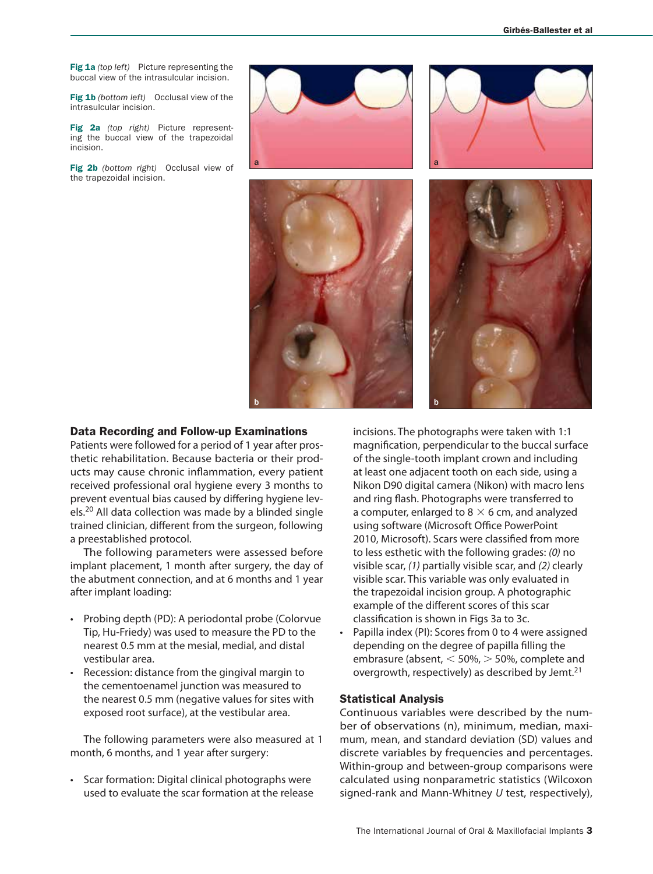Fig 1a *(top left)* Picture representing the buccal view of the intrasulcular incision.

Fig 1b *(bottom left)* Occlusal view of the intrasulcular incision.

Fig 2a *(top right)* Picture representing the buccal view of the trapezoidal incision.

Fig 2b *(bottom right)* Occlusal view of the trapezoidal incision.





### Data Recording and Follow-up Examinations

Patients were followed for a period of 1 year after prosthetic rehabilitation. Because bacteria or their products may cause chronic inflammation, every patient received professional oral hygiene every 3 months to prevent eventual bias caused by differing hygiene levels.20 All data collection was made by a blinded single trained clinician, different from the surgeon, following a preestablished protocol.

The following parameters were assessed before implant placement, 1 month after surgery, the day of the abutment connection, and at 6 months and 1 year after implant loading:

- Probing depth (PD): A periodontal probe (Colorvue Tip, Hu-Friedy) was used to measure the PD to the nearest 0.5 mm at the mesial, medial, and distal vestibular area.
- Recession: distance from the gingival margin to the cementoenamel junction was measured to the nearest 0.5 mm (negative values for sites with exposed root surface), at the vestibular area.

The following parameters were also measured at 1 month, 6 months, and 1 year after surgery:

• Scar formation: Digital clinical photographs were used to evaluate the scar formation at the release incisions. The photographs were taken with 1:1 magnification, perpendicular to the buccal surface of the single-tooth implant crown and including at least one adjacent tooth on each side, using a Nikon D90 digital camera (Nikon) with macro lens and ring flash. Photographs were transferred to a computer, enlarged to 8  $\times$  6 cm, and analyzed using software (Microsoft Office PowerPoint 2010, Microsoft). Scars were classified from more to less esthetic with the following grades: *(0)* no visible scar, *(1)* partially visible scar, and *(2)* clearly visible scar. This variable was only evaluated in the trapezoidal incision group. A photographic example of the different scores of this scar classification is shown in Figs 3a to 3c.

Papilla index (PI): Scores from 0 to 4 were assigned depending on the degree of papilla filling the embrasure (absent, < 50%, > 50%, complete and overgrowth, respectively) as described by Jemt.<sup>21</sup>

### Statistical Analysis

Continuous variables were described by the number of observations (n), minimum, median, maximum, mean, and standard deviation (SD) values and discrete variables by frequencies and percentages. Within-group and between-group comparisons were calculated using nonparametric statistics (Wilcoxon signed-rank and Mann-Whitney *U* test, respectively),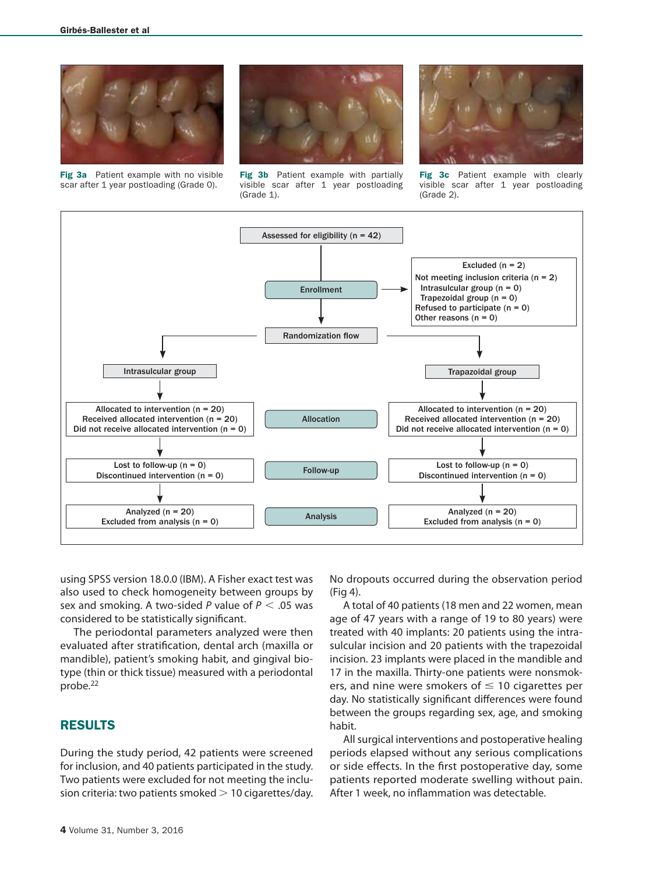

Fig 3a Patient example with no visible scar after 1 year postloading (Grade 0).



Fig 3b Patient example with partially visible scar after 1 year postloading (Grade 1).



Fig 3c Patient example with clearly visible scar after 1 year postloading (Grade 2).



using SPSS version 18.0.0 (IBM). A Fisher exact test was also used to check homogeneity between groups by sex and smoking. A two-sided *P* value of *P* < .05 was considered to be statistically significant.

The periodontal parameters analyzed were then evaluated after stratification, dental arch (maxilla or mandible), patient's smoking habit, and gingival biotype (thin or thick tissue) measured with a periodontal probe.<sup>22</sup>

# RESULTS

During the study period, 42 patients were screened for inclusion, and 40 patients participated in the study. Two patients were excluded for not meeting the inclusion criteria: two patients smoked  $>$  10 cigarettes/day.

No dropouts occurred during the observation period (Fig 4).

A total of 40 patients (18 men and 22 women, mean age of 47 years with a range of 19 to 80 years) were treated with 40 implants: 20 patients using the intrasulcular incision and 20 patients with the trapezoidal incision. 23 implants were placed in the mandible and 17 in the maxilla. Thirty-one patients were nonsmokers, and nine were smokers of  $\leq 10$  cigarettes per day. No statistically significant differences were found between the groups regarding sex, age, and smoking habit.

All surgical interventions and postoperative healing periods elapsed without any serious complications or side effects. In the first postoperative day, some patients reported moderate swelling without pain. After 1 week, no inflammation was detectable.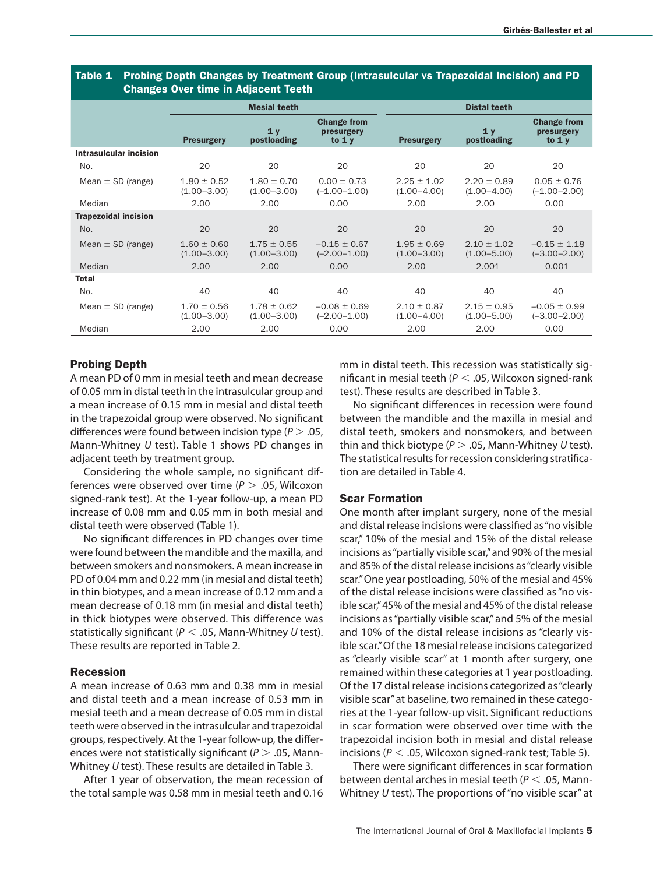|                             | <b>Undiges Over three in Aujacent Teeth</b> |                                    |                                              |                                    |                                    |                                              |  |  |  |  |
|-----------------------------|---------------------------------------------|------------------------------------|----------------------------------------------|------------------------------------|------------------------------------|----------------------------------------------|--|--|--|--|
|                             |                                             | <b>Mesial teeth</b>                |                                              |                                    | <b>Distal teeth</b>                |                                              |  |  |  |  |
|                             | <b>Presurgery</b>                           | 1y<br>postloading                  | <b>Change from</b><br>presurgery<br>to $1 y$ | <b>Presurgery</b>                  | 1y<br>postloading                  | <b>Change from</b><br>presurgery<br>to $1 y$ |  |  |  |  |
| Intrasulcular incision      |                                             |                                    |                                              |                                    |                                    |                                              |  |  |  |  |
| No.                         | 20                                          | 20                                 | 20                                           | 20                                 | 20                                 | 20                                           |  |  |  |  |
| Mean $\pm$ SD (range)       | $1.80 \pm 0.52$<br>$(1.00 - 3.00)$          | $1.80 \pm 0.70$<br>$(1.00 - 3.00)$ | $0.00 \pm 0.73$<br>$(-1.00 - 1.00)$          | $2.25 \pm 1.02$<br>$(1.00 - 4.00)$ | $2.20 \pm 0.89$<br>$(1.00 - 4.00)$ | $0.05 \pm 0.76$<br>$(-1.00 - 2.00)$          |  |  |  |  |
| Median                      | 2.00                                        | 2.00                               | 0.00                                         | 2.00                               | 2.00                               | 0.00                                         |  |  |  |  |
| <b>Trapezoidal incision</b> |                                             |                                    |                                              |                                    |                                    |                                              |  |  |  |  |
| No.                         | 20                                          | 20                                 | 20                                           | 20                                 | 20                                 | 20                                           |  |  |  |  |
| Mean $\pm$ SD (range)       | $1.60 \pm 0.60$<br>$(1.00 - 3.00)$          | $1.75 \pm 0.55$<br>$(1.00 - 3.00)$ | $-0.15 \pm 0.67$<br>$(-2.00 - 1.00)$         | $1.95 \pm 0.69$<br>$(1.00 - 3.00)$ | $2.10 \pm 1.02$<br>$(1.00 - 5.00)$ | $-0.15 \pm 1.18$<br>$(-3.00 - 2.00)$         |  |  |  |  |
| Median                      | 2.00                                        | 2.00                               | 0.00                                         | 2.00                               | 2.001                              | 0.001                                        |  |  |  |  |
| <b>Total</b>                |                                             |                                    |                                              |                                    |                                    |                                              |  |  |  |  |
| No.                         | 40                                          | 40                                 | 40                                           | 40                                 | 40                                 | 40                                           |  |  |  |  |
| Mean $\pm$ SD (range)       | $1.70 \pm 0.56$<br>$(1.00 - 3.00)$          | $1.78 \pm 0.62$<br>$(1.00 - 3.00)$ | $-0.08 \pm 0.69$<br>$(-2.00 - 1.00)$         | $2.10 \pm 0.87$<br>$(1.00 - 4.00)$ | $2.15 \pm 0.95$<br>$(1.00 - 5.00)$ | $-0.05 \pm 0.99$<br>$(-3.00 - 2.00)$         |  |  |  |  |
| Median                      | 2.00                                        | 2.00                               | 0.00                                         | 2.00                               | 2.00                               | 0.00                                         |  |  |  |  |

### Table 1 Probing Depth Changes by Treatment Group (Intrasulcular vs Trapezoidal Incision) and PD Changes Over time in Adjacent Teeth

## Probing Depth

A mean PD of 0 mm in mesial teeth and mean decrease of 0.05 mm in distal teeth in the intrasulcular group and a mean increase of 0.15 mm in mesial and distal teeth in the trapezoidal group were observed. No significant differences were found between incision type (*P* > .05, Mann-Whitney *U* test). Table 1 shows PD changes in adjacent teeth by treatment group.

Considering the whole sample, no significant differences were observed over time (*P* > .05, Wilcoxon signed-rank test). At the 1-year follow-up, a mean PD increase of 0.08 mm and 0.05 mm in both mesial and distal teeth were observed (Table 1).

No significant differences in PD changes over time were found between the mandible and the maxilla, and between smokers and nonsmokers. A mean increase in PD of 0.04 mm and 0.22 mm (in mesial and distal teeth) in thin biotypes, and a mean increase of 0.12 mm and a mean decrease of 0.18 mm (in mesial and distal teeth) in thick biotypes were observed. This difference was statistically significant (*P* < .05, Mann-Whitney *U* test). These results are reported in Table 2.

### Recession

A mean increase of 0.63 mm and 0.38 mm in mesial and distal teeth and a mean increase of 0.53 mm in mesial teeth and a mean decrease of 0.05 mm in distal teeth were observed in the intrasulcular and trapezoidal groups, respectively. At the 1-year follow-up, the differences were not statistically significant (*P* > .05, Mann-Whitney *U* test). These results are detailed in Table 3.

After 1 year of observation, the mean recession of the total sample was 0.58 mm in mesial teeth and 0.16 mm in distal teeth. This recession was statistically significant in mesial teeth (*P* < .05, Wilcoxon signed-rank test). These results are described in Table 3.

No significant differences in recession were found between the mandible and the maxilla in mesial and distal teeth, smokers and nonsmokers, and between thin and thick biotype (*P* > .05, Mann-Whitney *U* test). The statistical results for recession considering stratification are detailed in Table 4.

### Scar Formation

One month after implant surgery, none of the mesial and distal release incisions were classified as "no visible scar," 10% of the mesial and 15% of the distal release incisions as "partially visible scar," and 90% of the mesial and 85% of the distal release incisions as "clearly visible scar." One year postloading, 50% of the mesial and 45% of the distal release incisions were classified as "no visible scar," 45% of the mesial and 45% of the distal release incisions as "partially visible scar," and 5% of the mesial and 10% of the distal release incisions as "clearly visible scar." Of the 18 mesial release incisions categorized as "clearly visible scar" at 1 month after surgery, one remained within these categories at 1 year postloading. Of the 17 distal release incisions categorized as "clearly visible scar" at baseline, two remained in these categories at the 1-year follow-up visit. Significant reductions in scar formation were observed over time with the trapezoidal incision both in mesial and distal release incisions (*P* < .05, Wilcoxon signed-rank test; Table 5).

There were significant differences in scar formation between dental arches in mesial teeth (*P* < .05, Mann-Whitney *U* test). The proportions of "no visible scar" at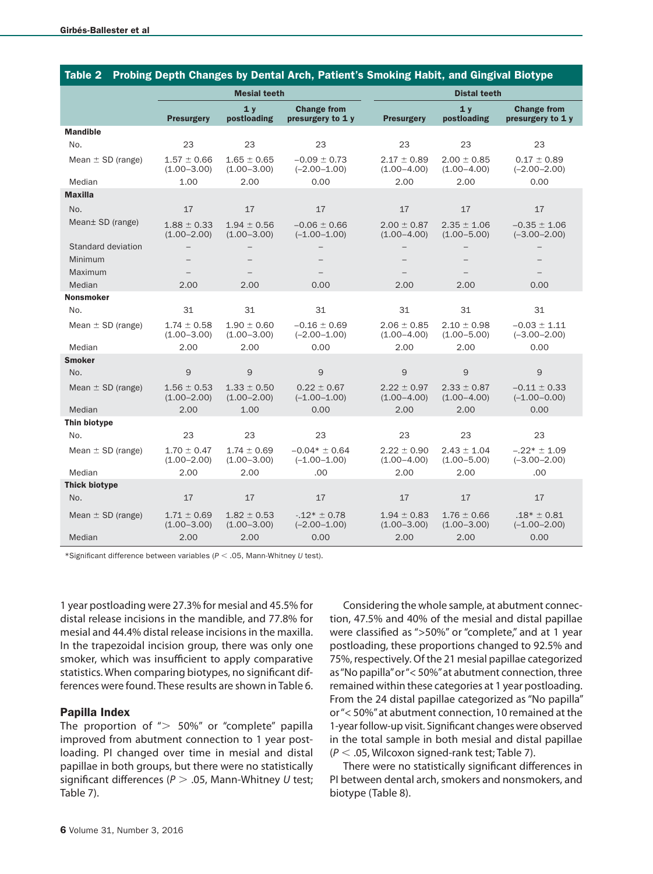| Probing Depth Changes by Dental Arch, Patient's Smoking Habit, and Gingival Biotype<br>Table 2 |                                    |                                    |                                         |                                    |                                    |                                         |  |  |  |  |
|------------------------------------------------------------------------------------------------|------------------------------------|------------------------------------|-----------------------------------------|------------------------------------|------------------------------------|-----------------------------------------|--|--|--|--|
|                                                                                                |                                    | <b>Mesial teeth</b>                |                                         |                                    | <b>Distal teeth</b>                |                                         |  |  |  |  |
|                                                                                                | <b>Presurgery</b>                  | 1 <sub>v</sub><br>postloading      | <b>Change from</b><br>presurgery to 1 y | <b>Presurgery</b>                  | 1 <sub>v</sub><br>postloading      | <b>Change from</b><br>presurgery to 1 y |  |  |  |  |
| <b>Mandible</b>                                                                                |                                    |                                    |                                         |                                    |                                    |                                         |  |  |  |  |
| No.                                                                                            | 23                                 | 23                                 | 23                                      | 23                                 | 23                                 | 23                                      |  |  |  |  |
| Mean $\pm$ SD (range)                                                                          | $1.57 \pm 0.66$<br>$(1.00 - 3.00)$ | $1.65 \pm 0.65$<br>$(1.00 - 3.00)$ | $-0.09 \pm 0.73$<br>$(-2.00 - 1.00)$    | $2.17 \pm 0.89$<br>$(1.00 - 4.00)$ | $2.00 \pm 0.85$<br>$(1.00 - 4.00)$ | $0.17 \pm 0.89$<br>$(-2.00 - 2.00)$     |  |  |  |  |
| Median                                                                                         | 1.00                               | 2.00                               | 0.00                                    | 2.00                               | 2.00                               | 0.00                                    |  |  |  |  |
| <b>Maxilla</b>                                                                                 |                                    |                                    |                                         |                                    |                                    |                                         |  |  |  |  |
| No.                                                                                            | 17                                 | 17                                 | 17                                      | 17                                 | 17                                 | 17                                      |  |  |  |  |
| Mean± SD (range)                                                                               | $1.88 \pm 0.33$<br>$(1.00 - 2.00)$ | $1.94 \pm 0.56$<br>$(1.00 - 3.00)$ | $-0.06 \pm 0.66$<br>$(-1.00 - 1.00)$    | $2.00 \pm 0.87$<br>$(1.00 - 4.00)$ | $2.35 \pm 1.06$<br>$(1.00 - 5.00)$ | $-0.35 \pm 1.06$<br>$(-3.00 - 2.00)$    |  |  |  |  |
| Standard deviation                                                                             |                                    |                                    |                                         |                                    |                                    |                                         |  |  |  |  |
| Minimum                                                                                        |                                    |                                    |                                         |                                    |                                    |                                         |  |  |  |  |
| Maximum                                                                                        |                                    |                                    |                                         |                                    |                                    |                                         |  |  |  |  |
| Median                                                                                         | 2.00                               | 2.00                               | 0.00                                    | 2.00                               | 2.00                               | 0.00                                    |  |  |  |  |
| <b>Nonsmoker</b>                                                                               |                                    |                                    |                                         |                                    |                                    |                                         |  |  |  |  |
| No.                                                                                            | 31                                 | 31                                 | 31                                      | 31                                 | 31                                 | 31                                      |  |  |  |  |
| Mean $\pm$ SD (range)                                                                          | $1.74 \pm 0.58$<br>$(1.00 - 3.00)$ | $1.90 \pm 0.60$<br>$(1.00 - 3.00)$ | $-0.16 \pm 0.69$<br>$(-2.00 - 1.00)$    | $2.06 \pm 0.85$<br>$(1.00 - 4.00)$ | $2.10 \pm 0.98$<br>$(1.00 - 5.00)$ | $-0.03 \pm 1.11$<br>$(-3.00 - 2.00)$    |  |  |  |  |
| Median                                                                                         | 2.00                               | 2.00                               | 0.00                                    | 2.00                               | 2.00                               | 0.00                                    |  |  |  |  |
| <b>Smoker</b>                                                                                  |                                    |                                    |                                         |                                    |                                    |                                         |  |  |  |  |
| No.                                                                                            | 9                                  | 9                                  | $\overline{9}$                          | 9                                  | 9                                  | $\mathsf 9$                             |  |  |  |  |
| Mean $\pm$ SD (range)                                                                          | $1.56 \pm 0.53$<br>$(1.00 - 2.00)$ | $1.33 \pm 0.50$<br>$(1.00 - 2.00)$ | $0.22 \pm 0.67$<br>$(-1.00 - 1.00)$     | $2.22 \pm 0.97$<br>$(1.00 - 4.00)$ | $2.33 \pm 0.87$<br>$(1.00 - 4.00)$ | $-0.11 \pm 0.33$<br>$(-1.00 - 0.00)$    |  |  |  |  |
| Median                                                                                         | 2.00                               | 1.00                               | 0.00                                    | 2.00                               | 2.00                               | 0.00                                    |  |  |  |  |
| Thin biotype                                                                                   |                                    |                                    |                                         |                                    |                                    |                                         |  |  |  |  |
| No.                                                                                            | 23                                 | 23                                 | 23                                      | 23                                 | 23                                 | 23                                      |  |  |  |  |
| Mean $\pm$ SD (range)                                                                          | $1.70 \pm 0.47$<br>$(1.00 - 2.00)$ | $1.74 \pm 0.69$<br>$(1.00 - 3.00)$ | $-0.04* \pm 0.64$<br>$(-1.00 - 1.00)$   | $2.22 \pm 0.90$<br>$(1.00 - 4.00)$ | $2.43 \pm 1.04$<br>$(1.00 - 5.00)$ | $-.22* \pm 1.09$<br>$(-3.00 - 2.00)$    |  |  |  |  |
| Median                                                                                         | 2.00                               | 2.00                               | .00                                     | 2.00                               | 2.00                               | .00                                     |  |  |  |  |
| <b>Thick biotype</b>                                                                           |                                    |                                    |                                         |                                    |                                    |                                         |  |  |  |  |
| No.                                                                                            | 17                                 | 17                                 | 17                                      | 17                                 | 17                                 | 17                                      |  |  |  |  |
| Mean $\pm$ SD (range)                                                                          | $1.71 \pm 0.69$<br>$(1.00 - 3.00)$ | $1.82 \pm 0.53$<br>$(1.00 - 3.00)$ | $-.12* \pm 0.78$<br>$(-2.00 - 1.00)$    | $1.94 \pm 0.83$<br>$(1.00 - 3.00)$ | $1.76 \pm 0.66$<br>$(1.00 - 3.00)$ | $.18* \pm 0.81$<br>$(-1.00 - 2.00)$     |  |  |  |  |
| Median                                                                                         | 2.00                               | 2.00                               | 0.00                                    | 2.00                               | 2.00                               | 0.00                                    |  |  |  |  |

\*Significant difference between variables (*P* < .05, Mann-Whitney *U* test).

1 year postloading were 27.3% for mesial and 45.5% for distal release incisions in the mandible, and 77.8% for mesial and 44.4% distal release incisions in the maxilla. In the trapezoidal incision group, there was only one smoker, which was insufficient to apply comparative statistics. When comparing biotypes, no significant differences were found. These results are shown in Table 6.

### Papilla Index

The proportion of " $> 50\%$ " or "complete" papilla improved from abutment connection to 1 year postloading. PI changed over time in mesial and distal papillae in both groups, but there were no statistically significant differences (*P* > .05, Mann-Whitney *U* test; Table 7).

Considering the whole sample, at abutment connection, 47.5% and 40% of the mesial and distal papillae were classified as ">50%" or "complete," and at 1 year postloading, these proportions changed to 92.5% and 75%, respectively. Of the 21 mesial papillae categorized as "No papilla" or "< 50%" at abutment connection, three remained within these categories at 1 year postloading. From the 24 distal papillae categorized as "No papilla" or "< 50%" at abutment connection, 10 remained at the 1-year follow-up visit. Significant changes were observed in the total sample in both mesial and distal papillae (*P* < .05, Wilcoxon signed-rank test; Table 7).

There were no statistically significant differences in PI between dental arch, smokers and nonsmokers, and biotype (Table 8).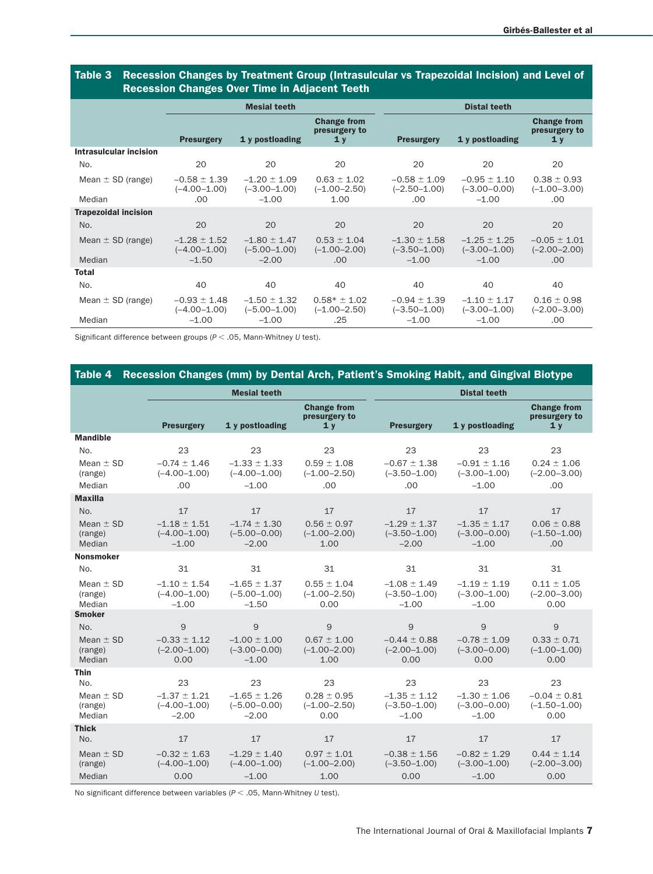|                             |                                      | Recession Changes Over Thile in Aujacent Teeth |                                                       |                                      |                                      |                                                       |  |  |  |  |
|-----------------------------|--------------------------------------|------------------------------------------------|-------------------------------------------------------|--------------------------------------|--------------------------------------|-------------------------------------------------------|--|--|--|--|
|                             |                                      | <b>Mesial teeth</b>                            |                                                       |                                      | <b>Distal teeth</b>                  |                                                       |  |  |  |  |
|                             | <b>Presurgery</b>                    | 1 y postloading                                | <b>Change from</b><br>presurgery to<br>1 <sub>y</sub> | <b>Presurgery</b>                    | 1 y postloading                      | <b>Change from</b><br>presurgery to<br>1 <sub>y</sub> |  |  |  |  |
| Intrasulcular incision      |                                      |                                                |                                                       |                                      |                                      |                                                       |  |  |  |  |
| No.                         | 20                                   | 20                                             | 20                                                    | 20                                   | 20                                   | 20                                                    |  |  |  |  |
| Mean $\pm$ SD (range)       | $-0.58 \pm 1.39$<br>$(-4.00 - 1.00)$ | $-1.20 \pm 1.09$<br>$(-3.00 - 1.00)$           | $0.63 \pm 1.02$<br>$(-1.00 - 2.50)$                   | $-0.58 \pm 1.09$<br>$(-2.50 - 1.00)$ | $-0.95 \pm 1.10$<br>$(-3.00 - 0.00)$ | $0.38 \pm 0.93$<br>$(-1.00 - 3.00)$                   |  |  |  |  |
| Median                      | .00                                  | $-1.00$                                        | 1.00                                                  | .00                                  | $-1.00$                              | .00                                                   |  |  |  |  |
| <b>Trapezoidal incision</b> |                                      |                                                |                                                       |                                      |                                      |                                                       |  |  |  |  |
| No.                         | 20                                   | 20                                             | 20                                                    | 20                                   | 20                                   | 20                                                    |  |  |  |  |
| Mean $\pm$ SD (range)       | $-1.28 \pm 1.52$<br>$(-4.00 - 1.00)$ | $-1.80 \pm 1.47$<br>$(-5.00 - 1.00)$           | $0.53 \pm 1.04$<br>$(-1.00 - 2.00)$                   | $-1.30 \pm 1.58$<br>$(-3.50 - 1.00)$ | $-1.25 \pm 1.25$<br>$(-3.00 - 1.00)$ | $-0.05 \pm 1.01$<br>$(-2.00 - 2.00)$                  |  |  |  |  |
| Median                      | $-1.50$                              | $-2.00$                                        | .00                                                   | $-1.00$                              | $-1.00$                              | .00                                                   |  |  |  |  |
| <b>Total</b>                |                                      |                                                |                                                       |                                      |                                      |                                                       |  |  |  |  |
| No.                         | 40                                   | 40                                             | 40                                                    | 40                                   | 40                                   | 40                                                    |  |  |  |  |
| Mean $\pm$ SD (range)       | $-0.93 \pm 1.48$<br>$(-4.00 - 1.00)$ | $-1.50 \pm 1.32$<br>$(-5.00 - 1.00)$           | $0.58* \pm 1.02$<br>$(-1.00 - 2.50)$                  | $-0.94 \pm 1.39$<br>$(-3.50 - 1.00)$ | $-1.10 \pm 1.17$<br>$(-3.00 - 1.00)$ | $0.16 \pm 0.98$<br>$(-2.00 - 3.00)$                   |  |  |  |  |
| Median                      | $-1.00$                              | $-1.00$                                        | .25                                                   | $-1.00$                              | $-1.00$                              | .00                                                   |  |  |  |  |

## Table 3 Recession Changes by Treatment Group (Intrasulcular vs Trapezoidal Incision) and Level of Changes Over Time in Adjacent Teeth

Significant difference between groups (*P* < .05, Mann-Whitney *U* test).

### Table 4 Recession Changes (mm) by Dental Arch, Patient's Smoking Habit, and Gingival Biotype

|                                    |                                                 | <b>Mesial teeth</b>                             |                                             |                                                 | <b>Distal teeth</b>                             |                                              |
|------------------------------------|-------------------------------------------------|-------------------------------------------------|---------------------------------------------|-------------------------------------------------|-------------------------------------------------|----------------------------------------------|
|                                    |                                                 |                                                 | <b>Change from</b><br>presurgery to         |                                                 |                                                 | <b>Change from</b><br>presurgery to          |
|                                    | <b>Presurgery</b>                               | 1 y postloading                                 | 1 <sub>v</sub>                              | <b>Presurgery</b>                               | 1 v postloading                                 | 1 <sub>v</sub>                               |
| <b>Mandible</b>                    |                                                 |                                                 |                                             |                                                 |                                                 |                                              |
| No.                                | 23                                              | 23                                              | 23                                          | 23                                              | 23                                              | 23                                           |
| $Mean + SD$<br>(range)             | $-0.74 + 1.46$<br>$(-4.00 - 1.00)$              | $-1.33 \pm 1.33$<br>$(-4.00 - 1.00)$            | $0.59 \pm 1.08$<br>$(-1.00 - 2.50)$         | $-0.67 + 1.38$<br>$(-3.50 - 1.00)$              | $-0.91 \pm 1.16$<br>$(-3.00 - 1.00)$            | $0.24 + 1.06$<br>$(-2.00 - 3.00)$            |
| Median                             | .00                                             | $-1.00$                                         | .00                                         | .00                                             | $-1.00$                                         | .00                                          |
| <b>Maxilla</b>                     |                                                 |                                                 |                                             |                                                 |                                                 |                                              |
| No.                                | 17                                              | 17                                              | 17                                          | 17                                              | 17                                              | 17                                           |
| Mean $\pm$ SD<br>(range)<br>Median | $-1.18 \pm 1.51$<br>$(-4.00 - 1.00)$<br>$-1.00$ | $-1.74 \pm 1.30$<br>$(-5.00 - 0.00)$<br>$-2.00$ | $0.56 \pm 0.97$<br>$(-1.00 - 2.00)$<br>1.00 | $-1.29 \pm 1.37$<br>$(-3.50 - 1.00)$<br>$-2.00$ | $-1.35 \pm 1.17$<br>$(-3.00 - 0.00)$<br>$-1.00$ | $0.06 \pm 0.88$<br>$(-1.50 - 1.00)$<br>.00   |
| <b>Nonsmoker</b>                   |                                                 |                                                 |                                             |                                                 |                                                 |                                              |
| No.                                | 31                                              | 31                                              | 31                                          | 31                                              | 31                                              | 31                                           |
| Mean $\pm$ SD<br>(range)<br>Median | $-1.10 \pm 1.54$<br>$(-4.00 - 1.00)$<br>$-1.00$ | $-1.65 \pm 1.37$<br>$(-5.00 - 1.00)$<br>$-1.50$ | $0.55 \pm 1.04$<br>$(-1.00 - 2.50)$<br>0.00 | $-1.08 \pm 1.49$<br>$(-3.50 - 1.00)$<br>$-1.00$ | $-1.19 \pm 1.19$<br>$(-3.00 - 1.00)$<br>$-1.00$ | $0.11 \pm 1.05$<br>$(-2.00 - 3.00)$<br>0.00  |
| <b>Smoker</b>                      |                                                 |                                                 |                                             |                                                 |                                                 |                                              |
| No.                                | 9                                               | 9                                               | 9                                           | 9                                               | 9                                               | 9                                            |
| Mean $\pm$ SD<br>(range)<br>Median | $-0.33 \pm 1.12$<br>$(-2.00 - 1.00)$<br>0.00    | $-1.00 \pm 1.00$<br>$(-3.00 - 0.00)$<br>$-1.00$ | $0.67 \pm 1.00$<br>$(-1.00 - 2.00)$<br>1.00 | $-0.44 \pm 0.88$<br>$(-2.00 - 1.00)$<br>0.00    | $-0.78 \pm 1.09$<br>$(-3.00 - 0.00)$<br>0.00    | $0.33 \pm 0.71$<br>$(-1.00 - 1.00)$<br>0.00  |
| <b>Thin</b>                        |                                                 |                                                 |                                             |                                                 |                                                 |                                              |
| No.                                | 23                                              | 23                                              | 23                                          | 23                                              | 23                                              | 23                                           |
| Mean $\pm$ SD<br>(range)<br>Median | $-1.37 \pm 1.21$<br>$(-4.00 - 1.00)$<br>$-2.00$ | $-1.65 \pm 1.26$<br>$(-5.00 - 0.00)$<br>$-2.00$ | $0.28 \pm 0.95$<br>$(-1.00 - 2.50)$<br>0.00 | $-1.35 \pm 1.12$<br>$(-3.50 - 1.00)$<br>$-1.00$ | $-1.30 \pm 1.06$<br>$(-3.00 - 0.00)$<br>$-1.00$ | $-0.04 \pm 0.81$<br>$(-1.50 - 1.00)$<br>0.00 |
| <b>Thick</b>                       |                                                 |                                                 |                                             |                                                 |                                                 |                                              |
| No.                                | 17                                              | 17                                              | 17                                          | 17                                              | 17                                              | 17                                           |
| Mean $\pm$ SD<br>(range)           | $-0.32 \pm 1.63$<br>$(-4.00 - 1.00)$            | $-1.29 \pm 1.40$<br>$(-4.00 - 1.00)$            | $0.97 \pm 1.01$<br>$(-1.00 - 2.00)$         | $-0.38 \pm 1.56$<br>$(-3.50 - 1.00)$            | $-0.82 \pm 1.29$<br>$(-3.00 - 1.00)$            | $0.44 \pm 1.14$<br>$(-2.00 - 3.00)$          |
| Median                             | 0.00                                            | $-1.00$                                         | 1.00                                        | 0.00                                            | $-1.00$                                         | 0.00                                         |

No significant difference between variables (*P* < .05, Mann-Whitney *U* test).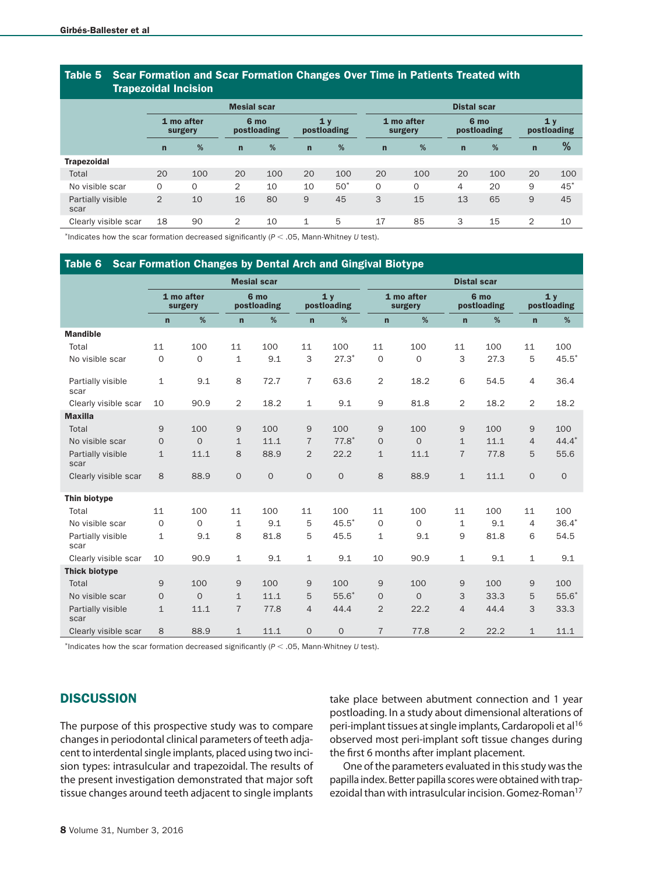### Table 5 Scar Formation and Scar Formation Changes Over Time in Patients Treated with Trapezoidal Incision

| <b>HapoLorum Highold</b>  |                       |          |                    |                     |              |                               |             |                       |             |                     |              |                               |
|---------------------------|-----------------------|----------|--------------------|---------------------|--------------|-------------------------------|-------------|-----------------------|-------------|---------------------|--------------|-------------------------------|
|                           |                       |          | <b>Mesial scar</b> |                     |              | <b>Distal scar</b>            |             |                       |             |                     |              |                               |
|                           | 1 mo after<br>surgery |          |                    | 6 mo<br>postloading |              | 1 <sub>v</sub><br>postloading |             | 1 mo after<br>surgery |             | 6 mo<br>postloading |              | 1 <sub>y</sub><br>postloading |
|                           | $\mathsf{n}$          | %        | $\mathbf n$        | %                   | $\mathsf{n}$ | %                             | $\mathbf n$ | %                     | $\mathbf n$ | %                   | $\mathsf{n}$ | %                             |
| <b>Trapezoidal</b>        |                       |          |                    |                     |              |                               |             |                       |             |                     |              |                               |
| Total                     | 20                    | 100      | 20                 | 100                 | 20           | 100                           | 20          | 100                   | 20          | 100                 | 20           | 100                           |
| No visible scar           | $\mathbf 0$           | $\Omega$ | 2                  | 10                  | 10           | $50*$                         | $\Omega$    | $\Omega$              | 4           | 20                  | 9            | $45^*$                        |
| Partially visible<br>scar | 2                     | 10       | 16                 | 80                  | 9            | 45                            | 3           | 15                    | 13          | 65                  | 9            | 45                            |
| Clearly visible scar      | 18                    | 90       | 2                  | 10                  | $\mathbf{1}$ | 5                             | 17          | 85                    | 3           | 15                  | 2            | 10                            |

\*Indicates how the scar formation decreased significantly (*P* < .05, Mann-Whitney *U* test).

## Table 6 Scar Formation Changes by Dental Arch and Gingival Biotype

|                           |                       |             |                | <b>Mesial scar</b>  |                |                               | <b>Distal scar</b> |                       |                |                     |                |                               |
|---------------------------|-----------------------|-------------|----------------|---------------------|----------------|-------------------------------|--------------------|-----------------------|----------------|---------------------|----------------|-------------------------------|
|                           | 1 mo after<br>surgery |             |                | 6 mo<br>postloading |                | 1 <sub>v</sub><br>postloading |                    | 1 mo after<br>surgery |                | 6 mo<br>postloading |                | 1 <sub>v</sub><br>postloading |
|                           | $\overline{ }$        | %           | $\mathbf n$    | %                   | $\mathbf n$    | %                             | $\mathbf n$        | %                     | $\mathsf{n}$   | %                   | $\mathbf n$    | %                             |
| <b>Mandible</b>           |                       |             |                |                     |                |                               |                    |                       |                |                     |                |                               |
| Total                     | 11                    | 100         | 11             | 100                 | 11             | 100                           | 11                 | 100                   | 11             | 100                 | 11             | 100                           |
| No visible scar           | $\mathbf{O}$          | $\mathbf 0$ | $\mathbf{1}$   | 9.1                 | 3              | $27.3*$                       | $\mathbf 0$        | $\mathbf{O}$          | 3              | 27.3                | 5              | $45.5*$                       |
| Partially visible<br>scar | $\mathbf 1$           | 9.1         | 8              | 72.7                | $\overline{7}$ | 63.6                          | $\overline{2}$     | 18.2                  | 6              | 54.5                | $\overline{4}$ | 36.4                          |
| Clearly visible scar      | 10                    | 90.9        | 2              | 18.2                | $\mathbf{1}$   | 9.1                           | $\overline{9}$     | 81.8                  | $\overline{2}$ | 18.2                | $\overline{2}$ | 18.2                          |
| <b>Maxilla</b>            |                       |             |                |                     |                |                               |                    |                       |                |                     |                |                               |
| Total                     | 9                     | 100         | 9              | 100                 | 9              | 100                           | 9                  | 100                   | 9              | 100                 | 9              | 100                           |
| No visible scar           | $\overline{0}$        | $\Omega$    | $\mathbf{1}$   | 11.1                | $\overline{7}$ | $77.8*$                       | $\mathbf{O}$       | $\Omega$              | $\mathbf{1}$   | 11.1                | $\overline{4}$ | $44.4*$                       |
| Partially visible<br>scar | $\mathbf{1}$          | 11.1        | 8              | 88.9                | 2              | 22.2                          | $\mathbf{1}$       | 11.1                  | $\overline{7}$ | 77.8                | 5              | 55.6                          |
| Clearly visible scar      | 8                     | 88.9        | $\overline{0}$ | $\mathbf{O}$        | $\overline{0}$ | $\overline{0}$                | 8                  | 88.9                  | $\mathbf{1}$   | 11.1                | $\mathbf 0$    | $\mathbf 0$                   |
| Thin biotype              |                       |             |                |                     |                |                               |                    |                       |                |                     |                |                               |
| Total                     | 11                    | 100         | 11             | 100                 | 11             | 100                           | 11                 | 100                   | 11             | 100                 | 11             | 100                           |
| No visible scar           | $\mathbf{O}$          | $\mathbf 0$ | $\mathbf{1}$   | 9.1                 | 5              | $45.5*$                       | $\mathbf{O}$       | $\mathbf{O}$          | $\mathbf{1}$   | 9.1                 | $\overline{4}$ | $36.4*$                       |
| Partially visible<br>scar | $\mathbf{1}$          | 9.1         | 8              | 81.8                | 5              | 45.5                          | $\mathbf{1}$       | 9.1                   | 9              | 81.8                | 6              | 54.5                          |
| Clearly visible scar      | 10                    | 90.9        | $\mathbf 1$    | 9.1                 | $\mathbf{1}$   | 9.1                           | 10                 | 90.9                  | $\mathbf{1}$   | 9.1                 | $\mathbf 1$    | 9.1                           |
| <b>Thick biotype</b>      |                       |             |                |                     |                |                               |                    |                       |                |                     |                |                               |
| Total                     | 9                     | 100         | $\mathsf{9}$   | 100                 | 9              | 100                           | 9                  | 100                   | $\mathsf 9$    | 100                 | $\mathsf g$    | 100                           |
| No visible scar           | $\overline{0}$        | $\Omega$    | $\mathbf{1}$   | 11.1                | 5              | $55.6*$                       | $\mathbf{O}$       | $\Omega$              | 3              | 33.3                | 5              | $55.6*$                       |
| Partially visible<br>scar | $\mathbf{1}$          | 11.1        | $\overline{7}$ | 77.8                | $\overline{4}$ | 44.4                          | 2                  | 22.2                  | $\overline{4}$ | 44.4                | 3              | 33.3                          |
| Clearly visible scar      | 8                     | 88.9        | $\mathbf{1}$   | 11.1                | $\overline{O}$ | $\overline{O}$                | $\overline{7}$     | 77.8                  | $\overline{2}$ | 22.2                | $\mathbf{1}$   | 11.1                          |

\*Indicates how the scar formation decreased significantly (*P* < .05, Mann-Whitney *U* test).

# **DISCUSSION**

The purpose of this prospective study was to compare changes in periodontal clinical parameters of teeth adjacent to interdental single implants, placed using two incision types: intrasulcular and trapezoidal. The results of the present investigation demonstrated that major soft tissue changes around teeth adjacent to single implants

take place between abutment connection and 1 year postloading. In a study about dimensional alterations of peri-implant tissues at single implants, Cardaropoli et al<sup>16</sup> observed most peri-implant soft tissue changes during the first 6 months after implant placement.

One of the parameters evaluated in this study was the papilla index. Better papilla scores were obtained with trapezoidal than with intrasulcular incision. Gomez-Roman<sup>17</sup>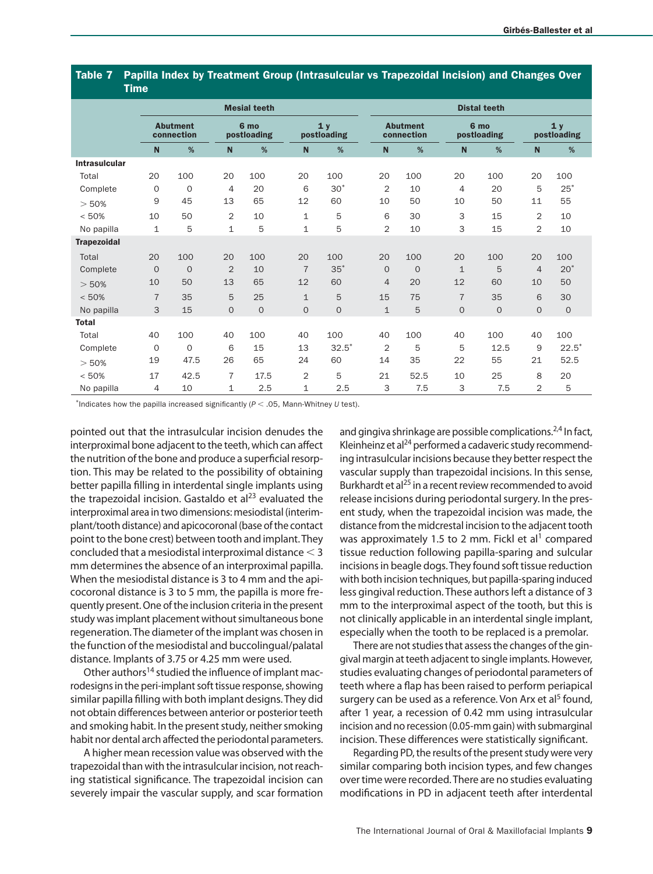### Table 7 Papilla Index by Treatment Group (Intrasulcular vs Trapezoidal Incision) and Changes Over Time

|                      |                               |              |                | <b>Mesial teeth</b> |                               |              | <b>Distal teeth</b>           |              |                     |              |                |                               |  |
|----------------------|-------------------------------|--------------|----------------|---------------------|-------------------------------|--------------|-------------------------------|--------------|---------------------|--------------|----------------|-------------------------------|--|
|                      | <b>Abutment</b><br>connection |              |                | 6 mo<br>postloading | 1 <sub>v</sub><br>postloading |              | <b>Abutment</b><br>connection |              | 6 mo<br>postloading |              |                | 1 <sub>v</sub><br>postloading |  |
|                      | $\mathbf N$                   | %            | N              | %                   | $\mathbf N$                   | %            | $\mathbf N$                   | %            | $\mathbf N$         | %            | $\mathbf N$    | %                             |  |
| <b>Intrasulcular</b> |                               |              |                |                     |                               |              |                               |              |                     |              |                |                               |  |
| Total                | 20                            | 100          | 20             | 100                 | 20                            | 100          | 20                            | 100          | 20                  | 100          | 20             | 100                           |  |
| Complete             | 0                             | $\circ$      | 4              | 20                  | 6                             | $30*$        | 2                             | 10           | 4                   | 20           | 5              | $25^*$                        |  |
| > 50%                | 9                             | 45           | 13             | 65                  | 12                            | 60           | 10                            | 50           | 10                  | 50           | 11             | 55                            |  |
| < 50%                | 10                            | 50           | 2              | 10                  | $\mathbf{1}$                  | 5            | 6                             | 30           | 3                   | 15           | $\overline{2}$ | 10                            |  |
| No papilla           | 1                             | 5            | $\mathbf{1}$   | 5                   | $\mathbf{1}$                  | 5            | $\overline{2}$                | 10           | 3                   | 15           | $\overline{2}$ | 10                            |  |
| <b>Trapezoidal</b>   |                               |              |                |                     |                               |              |                               |              |                     |              |                |                               |  |
| Total                | 20                            | 100          | 20             | 100                 | 20                            | 100          | 20                            | 100          | 20                  | 100          | 20             | 100                           |  |
| Complete             | $\mathbf{O}$                  | $\mathbf{O}$ | $\overline{2}$ | 10                  | $\overline{7}$                | $35*$        | $\overline{O}$                | $\mathbf{O}$ | $\mathbf{1}$        | 5            | $\overline{4}$ | $20*$                         |  |
| > 50%                | 10                            | 50           | 13             | 65                  | 12                            | 60           | $\overline{4}$                | 20           | 12                  | 60           | 10             | 50                            |  |
| < 50%                | $\overline{7}$                | 35           | 5              | 25                  | $\mathbf{1}$                  | 5            | 15                            | 75           | $\overline{7}$      | 35           | 6              | 30                            |  |
| No papilla           | 3                             | 15           | $\mathbf{O}$   | $\overline{O}$      | $\overline{O}$                | $\mathbf{O}$ | $\mathbf{1}$                  | 5            | $\overline{O}$      | $\mathbf{O}$ | $\Omega$       | $\mathbf{O}$                  |  |
| <b>Total</b>         |                               |              |                |                     |                               |              |                               |              |                     |              |                |                               |  |
| Total                | 40                            | 100          | 40             | 100                 | 40                            | 100          | 40                            | 100          | 40                  | 100          | 40             | 100                           |  |
| Complete             | $\circ$                       | $\circ$      | 6              | 15                  | 13                            | $32.5*$      | $\overline{2}$                | 5            | 5                   | 12.5         | 9              | $22.5*$                       |  |
| > 50%                | 19                            | 47.5         | 26             | 65                  | 24                            | 60           | 14                            | 35           | 22                  | 55           | 21             | 52.5                          |  |
| < 50%                | 17                            | 42.5         | $\overline{7}$ | 17.5                | 2                             | 5            | 21                            | 52.5         | 10                  | 25           | 8              | 20                            |  |
| No papilla           | 4                             | 10           | $\mathbf{1}$   | 2.5                 | $\mathbf{1}$                  | 2.5          | 3                             | 7.5          | 3                   | 7.5          | $\overline{2}$ | 5                             |  |

\*Indicates how the papilla increased significantly (*P* < .05, Mann-Whitney *U* test).

pointed out that the intrasulcular incision denudes the interproximal bone adjacent to the teeth, which can affect the nutrition of the bone and produce a superficial resorption. This may be related to the possibility of obtaining better papilla filling in interdental single implants using the trapezoidal incision. Gastaldo et al $^{23}$  evaluated the interproximal area in two dimensions: mesiodistal (interimplant/tooth distance) and apicocoronal (base of the contact point to the bone crest) between tooth and implant. They concluded that a mesiodistal interproximal distance < 3 mm determines the absence of an interproximal papilla. When the mesiodistal distance is 3 to 4 mm and the apicocoronal distance is 3 to 5 mm, the papilla is more frequently present. One of the inclusion criteria in the present study was implant placement without simultaneous bone regeneration. The diameter of the implant was chosen in the function of the mesiodistal and buccolingual/palatal distance. Implants of 3.75 or 4.25 mm were used.

Other authors<sup>14</sup> studied the influence of implant macrodesigns in the peri-implant soft tissue response, showing similar papilla filling with both implant designs. They did not obtain differences between anterior or posterior teeth and smoking habit. In the present study, neither smoking habit nor dental arch affected the periodontal parameters.

A higher mean recession value was observed with the trapezoidal than with the intrasulcular incision, not reaching statistical significance. The trapezoidal incision can severely impair the vascular supply, and scar formation and gingiva shrinkage are possible complications.<sup>2,4</sup> In fact, Kleinheinz et al $^{24}$  performed a cadaveric study recommending intrasulcular incisions because they better respect the vascular supply than trapezoidal incisions. In this sense, Burkhardt et al<sup>25</sup> in a recent review recommended to avoid release incisions during periodontal surgery. In the present study, when the trapezoidal incision was made, the distance from the midcrestal incision to the adjacent tooth was approximately 1.5 to 2 mm. Fickl et al<sup>1</sup> compared tissue reduction following papilla-sparing and sulcular incisions in beagle dogs. They found soft tissue reduction with both incision techniques, but papilla-sparing induced less gingival reduction. These authors left a distance of 3 mm to the interproximal aspect of the tooth, but this is not clinically applicable in an interdental single implant, especially when the tooth to be replaced is a premolar.

There are not studies that assess the changes of the gingival margin at teeth adjacent to single implants. However, studies evaluating changes of periodontal parameters of teeth where a flap has been raised to perform periapical surgery can be used as a reference. Von Arx et al<sup>5</sup> found, after 1 year, a recession of 0.42 mm using intrasulcular incision and no recession (0.05-mm gain) with submarginal incision. These differences were statistically significant.

Regarding PD, the results of the present study were very similar comparing both incision types, and few changes over time were recorded. There are no studies evaluating modifications in PD in adjacent teeth after interdental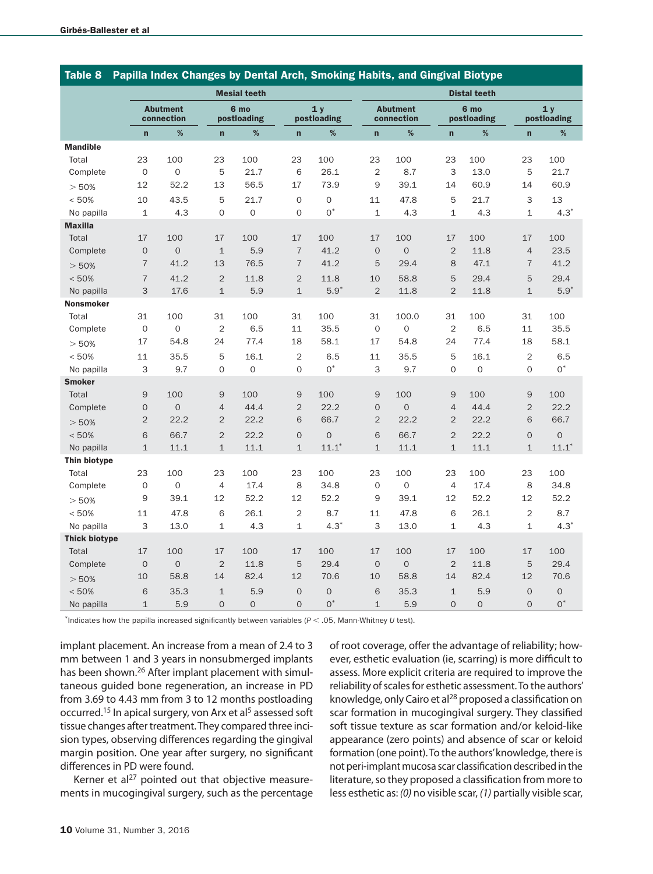| <b>Table 8</b>       |                     | Papilla Index Changes by Dental Arch, Smoking Habits, and Gingival Biotype |                |                     |                |                   |                |                               |                |                     |                |                   |  |
|----------------------|---------------------|----------------------------------------------------------------------------|----------------|---------------------|----------------|-------------------|----------------|-------------------------------|----------------|---------------------|----------------|-------------------|--|
|                      |                     |                                                                            |                | <b>Mesial teeth</b> |                |                   |                | <b>Distal teeth</b>           |                |                     |                |                   |  |
|                      |                     | <b>Abutment</b><br>connection                                              |                | 6 mo<br>postloading |                | 1y<br>postloading |                | <b>Abutment</b><br>connection |                | 6 mo<br>postloading |                | 1y<br>postloading |  |
|                      | $\mathbf{r}$        | %                                                                          | $\mathbf{r}$   | %                   | $\mathbf{r}$   | %                 | $\mathbf{r}$   | %                             | $\mathbf{r}$   | %                   | $\overline{ }$ | %                 |  |
| <b>Mandible</b>      |                     |                                                                            |                |                     |                |                   |                |                               |                |                     |                |                   |  |
| Total                | 23                  | 100                                                                        | 23             | 100                 | 23             | 100               | 23             | 100                           | 23             | 100                 | 23             | 100               |  |
| Complete             | $\mathbf 0$         | $\mathbf 0$                                                                | 5              | 21.7                | 6              | 26.1              | $\overline{2}$ | 8.7                           | 3              | 13.0                | 5              | 21.7              |  |
| > 50%                | 12                  | 52.2                                                                       | 13             | 56.5                | 17             | 73.9              | 9              | 39.1                          | 14             | 60.9                | 14             | 60.9              |  |
| < 50%                | 10                  | 43.5                                                                       | 5              | 21.7                | $\mathbf 0$    | $\mathbf 0$       | 11             | 47.8                          | 5              | 21.7                | 3              | 13                |  |
| No papilla           | $\mathbf{1}$        | 4.3                                                                        | $\overline{0}$ | $\overline{O}$      | $\mathbf{O}$   | $0^*$             | $\mathbf{1}$   | 4.3                           | $\mathbf{1}$   | 4.3                 | $\mathbf{1}$   | $4.3*$            |  |
| <b>Maxilla</b>       |                     |                                                                            |                |                     |                |                   |                |                               |                |                     |                |                   |  |
| Total                | 17                  | 100                                                                        | 17             | 100                 | 17             | 100               | 17             | 100                           | 17             | 100                 | 17             | 100               |  |
| Complete             | $\mathbf 0$         | $\Omega$                                                                   | $\mathbf{1}$   | 5.9                 | $\overline{7}$ | 41.2              | $\mathbf 0$    | $\Omega$                      | $\overline{2}$ | 11.8                | $\overline{4}$ | 23.5              |  |
| > 50%                | $\overline{7}$      | 41.2                                                                       | 13             | 76.5                | $\overline{7}$ | 41.2              | 5              | 29.4                          | 8              | 47.1                | $\overline{7}$ | 41.2              |  |
| < 50%                | $\overline{7}$      | 41.2                                                                       | $\overline{2}$ | 11.8                | $\overline{2}$ | 11.8              | 10             | 58.8                          | 5              | 29.4                | 5              | 29.4              |  |
| No papilla           | 3                   | 17.6                                                                       | $\mathbf{1}$   | 5.9                 | $\mathbf{1}$   | $5.9*$            | $\overline{2}$ | 11.8                          | $\overline{2}$ | 11.8                | $\mathbf{1}$   | $5.9*$            |  |
| <b>Nonsmoker</b>     |                     |                                                                            |                |                     |                |                   |                |                               |                |                     |                |                   |  |
| Total                | 31                  | 100                                                                        | 31             | 100                 | 31             | 100               | 31             | 100.0                         | 31             | 100                 | 31             | 100               |  |
| Complete             | $\mathbf{O}$        | $\mathsf{O}\xspace$                                                        | $\overline{2}$ | 6.5                 | 11             | 35.5              | $\mathbf{O}$   | $\overline{0}$                | $\overline{2}$ | 6.5                 | 11             | 35.5              |  |
| > 50%                | 17                  | 54.8                                                                       | 24             | 77.4                | 18             | 58.1              | 17             | 54.8                          | 24             | 77.4                | 18             | 58.1              |  |
| < 50%                | 11                  | 35.5                                                                       | 5              | 16.1                | $\overline{2}$ | 6.5               | 11             | 35.5                          | 5              | 16.1                | $\overline{2}$ | 6.5               |  |
| No papilla           | 3                   | 9.7                                                                        | $\overline{0}$ | $\overline{O}$      | $\mathbf{O}$   | $0^*$             | 3              | 9.7                           | $\overline{0}$ | $\mathbf 0$         | $\mathbf{O}$   | $0^*$             |  |
| <b>Smoker</b>        |                     |                                                                            |                |                     |                |                   |                |                               |                |                     |                |                   |  |
| Total                | 9                   | 100                                                                        | $\overline{9}$ | 100                 | $\mathsf 9$    | 100               | $\overline{9}$ | 100                           | 9              | 100                 | $\overline{9}$ | 100               |  |
| Complete             | $\mathsf{O}\xspace$ | $\overline{O}$                                                             | $\overline{4}$ | 44.4                | $\overline{2}$ | 22.2              | $\mathbf{O}$   | $\overline{O}$                | $\overline{4}$ | 44.4                | $\overline{2}$ | 22.2              |  |
| > 50%                | $\overline{2}$      | 22.2                                                                       | $\overline{2}$ | 22.2                | 6              | 66.7              | $\overline{2}$ | 22.2                          | $\overline{2}$ | 22.2                | 6              | 66.7              |  |
| < 50%                | 6                   | 66.7                                                                       | $\overline{2}$ | 22.2                | $\mathbf 0$    | $\mathbf 0$       | 6              | 66.7                          | $\overline{2}$ | 22.2                | $\overline{0}$ | $\mathbf 0$       |  |
| No papilla           | $\mathbf{1}$        | 11.1                                                                       | $\mathbf{1}$   | 11.1                | $\mathbf 1$    | $11.1*$           | $\mathbf{1}$   | 11.1                          | $\mathbf{1}$   | 11.1                | $\mathbf{1}$   | $11.1*$           |  |
| Thin biotype         |                     |                                                                            |                |                     |                |                   |                |                               |                |                     |                |                   |  |
| Total                | 23                  | 100                                                                        | 23             | 100                 | 23             | 100               | 23             | 100                           | 23             | 100                 | 23             | 100               |  |
| Complete             | $\mathbf{O}$        | $\mathsf{O}\xspace$                                                        | $\overline{4}$ | 17.4                | 8              | 34.8              | $\mathbf{O}$   | $\mathbf{O}$                  | $\overline{4}$ | 17.4                | 8              | 34.8              |  |
| > 50%                | 9                   | 39.1                                                                       | 12             | 52.2                | 12             | 52.2              | 9              | 39.1                          | 12             | 52.2                | 12             | 52.2              |  |
| < 50%                | 11                  | 47.8                                                                       | 6              | 26.1                | $\overline{2}$ | 8.7               | 11             | 47.8                          | 6              | 26.1                | $\overline{2}$ | 8.7               |  |
| No papilla           | 3                   | 13.0                                                                       | 1              | 4.3                 | 1              | $4.3*$            | 3              | 13.0                          | 1              | 4.3                 | $\mathbf{1}$   | $4.3*$            |  |
| <b>Thick biotype</b> |                     |                                                                            |                |                     |                |                   |                |                               |                |                     |                |                   |  |
| Total                | 17                  | 100                                                                        | 17             | 100                 | 17             | 100               | 17             | 100                           | 17             | 100                 | 17             | 100               |  |
| Complete             | $\mathbf 0$         | $\mathsf{O}\xspace$                                                        | $\overline{2}$ | 11.8                | 5              | 29.4              | $\mathbf{O}$   | $\overline{O}$                | $\overline{2}$ | 11.8                | 5              | 29.4              |  |
| > 50%                | 10                  | 58.8                                                                       | 14             | 82.4                | 12             | 70.6              | 10             | 58.8                          | 14             | 82.4                | 12             | 70.6              |  |
| < 50%                | 6                   | 35.3                                                                       | $\mathbf{1}$   | 5.9                 | $\mathbf 0$    | $\mathbf 0$       | 6              | 35.3                          | $\mathbf{1}$   | 5.9                 | $\Omega$       | $\mathbf 0$       |  |
| No papilla           | $\mathbf{1}$        | 5.9                                                                        | $\overline{0}$ | $\overline{O}$      | $\overline{0}$ | $0^*$             | $\mathbf{1}$   | 5.9                           | $\overline{O}$ | $\overline{O}$      | $\overline{0}$ | $0^*$             |  |

\*Indicates how the papilla increased significantly between variables (*P* < .05, Mann-Whitney *U* test).

implant placement. An increase from a mean of 2.4 to 3 mm between 1 and 3 years in nonsubmerged implants has been shown.<sup>26</sup> After implant placement with simultaneous guided bone regeneration, an increase in PD from 3.69 to 4.43 mm from 3 to 12 months postloading occurred.<sup>15</sup> In apical surgery, von Arx et al<sup>5</sup> assessed soft tissue changes after treatment. They compared three incision types, observing differences regarding the gingival margin position. One year after surgery, no significant differences in PD were found.

Kerner et al<sup>27</sup> pointed out that objective measurements in mucogingival surgery, such as the percentage of root coverage, offer the advantage of reliability; however, esthetic evaluation (ie, scarring) is more difficult to assess. More explicit criteria are required to improve the reliability of scales for esthetic assessment. To the authors' knowledge, only Cairo et al<sup>28</sup> proposed a classification on scar formation in mucogingival surgery. They classified soft tissue texture as scar formation and/or keloid-like appearance (zero points) and absence of scar or keloid formation (one point). To the authors' knowledge, there is not peri-implant mucosa scar classification described in the literature, so they proposed a classification from more to less esthetic as: *(0)* no visible scar, *(1)* partially visible scar,